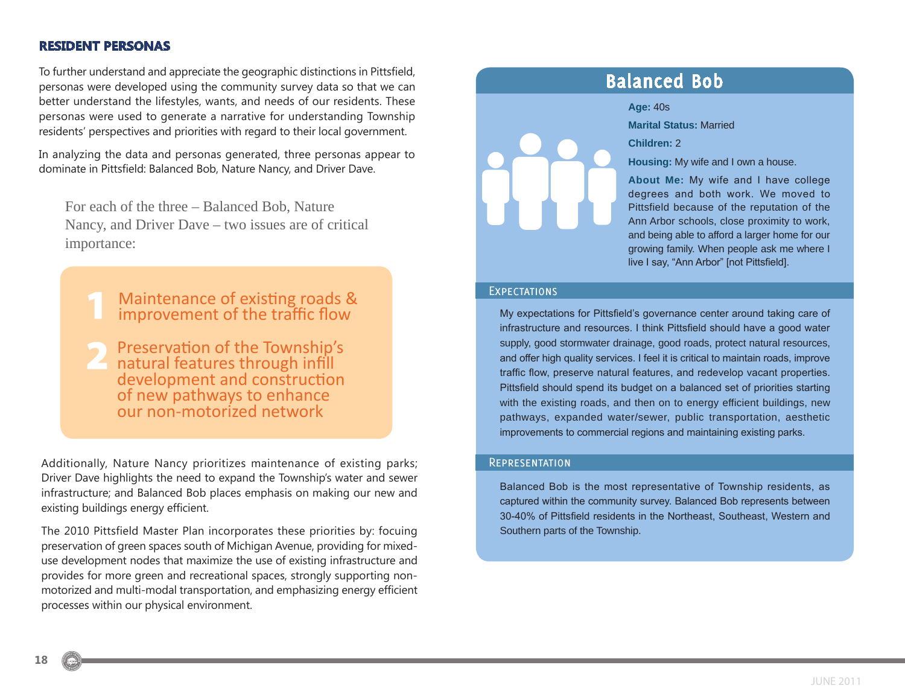### **RESIDENT PERSONAS**

To further understand and appreciate the geographic distinctions in Pittsfield, personas were developed using the community survey data so that we can better understand the lifestyles, wants, and needs of our residents. These personas were used to generate a narrative for understanding Township residents' perspectives and priorities with regard to their local government.

In analyzing the data and personas generated, three personas appear to dominate in Pittsfield: Balanced Bob, Nature Nancy, and Driver Dave.

For each of the three – Balanced Bob, Nature Nancy, and Driver Dave – two issues are of critical importance:

- Maintenance of existing roads & improvement of the traffic flow
- Preservation of the Township's natural features through infill development and construction of new pathways to enhance our non-motorized network

Additionally, Nature Nancy prioritizes maintenance of existing parks; Driver Dave highlights the need to expand the Township's water and sewer infrastructure; and Balanced Bob places emphasis on making our new and existing buildings energy efficient.

The 2010 Pittsfield Master Plan incorporates these priorities by: focuing preservation of green spaces south of Michigan Avenue, providing for mixeduse development nodes that maximize the use of existing infrastructure and provides for more green and recreational spaces, strongly supporting nonmotorized and multi-modal transportation, and emphasizing energy efficient processes within our physical environment.



### **Balanced Bob**

#### **Age:** 40s

**Marital Status:** Married

**Children:** 2

**Housing:** My wife and I own a house.

**About Me:** My wife and I have college degrees and both work. We moved to Pittsfield because of the reputation of the Ann Arbor schools, close proximity to work, and being able to afford a larger home for our growing family. When people ask me where I live I say, "Ann Arbor" [not Pittsfield].

#### **EXPECTATIONS**

My expectations for Pittsfield's governance center around taking care of infrastructure and resources. I think Pittsfield should have a good water supply, good stormwater drainage, good roads, protect natural resources, and offer high quality services. I feel it is critical to maintain roads, improve traffic flow, preserve natural features, and redevelop vacant properties. Pittsfield should spend its budget on a balanced set of priorities starting with the existing roads, and then on to energy efficient buildings, new pathways, expanded water/sewer, public transportation, aesthetic improvements to commercial regions and maintaining existing parks.

#### **REPRESENTATION**

Balanced Bob is the most representative of Township residents, as captured within the community survey. Balanced Bob represents between 30-40% of Pittsfield residents in the Northeast, Southeast, Western and Southern parts of the Township.